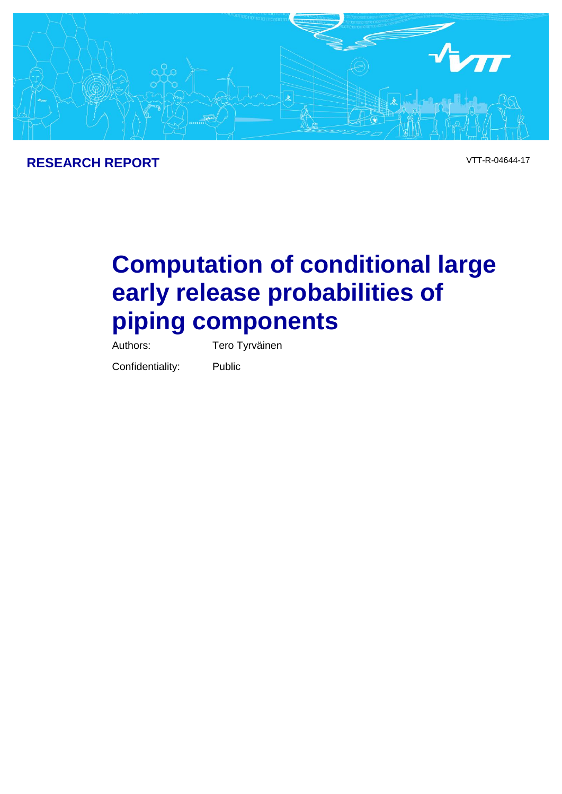

# **Computation of conditional large early release probabilities of piping components**

Authors: Tero Tyrväinen

Confidentiality: Public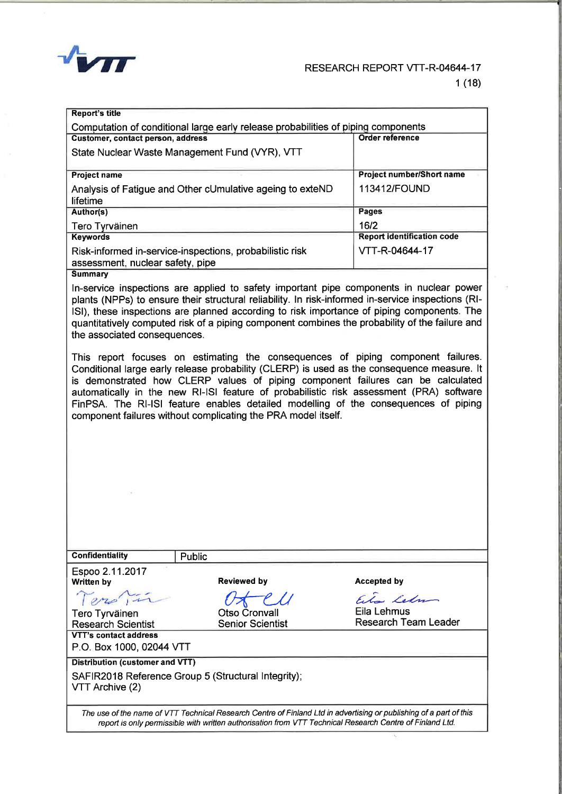

| <b>Report's title</b>                                                             |                                  |  |  |  |  |  |  |
|-----------------------------------------------------------------------------------|----------------------------------|--|--|--|--|--|--|
| Computation of conditional large early release probabilities of piping components |                                  |  |  |  |  |  |  |
| Customer, contact person, address                                                 | <b>Order reference</b>           |  |  |  |  |  |  |
| State Nuclear Waste Management Fund (VYR), VTT                                    |                                  |  |  |  |  |  |  |
|                                                                                   |                                  |  |  |  |  |  |  |
| <b>Project name</b>                                                               | <b>Project number/Short name</b> |  |  |  |  |  |  |
| Analysis of Fatigue and Other cUmulative ageing to exteND                         | 113412/FOUND                     |  |  |  |  |  |  |
| lifetime                                                                          |                                  |  |  |  |  |  |  |
| Author(s)                                                                         | <b>Pages</b>                     |  |  |  |  |  |  |
| <b>Tero Tyrväinen</b>                                                             | 16/2                             |  |  |  |  |  |  |
| <b>Keywords</b>                                                                   | Report identification code       |  |  |  |  |  |  |
| Risk-informed in-service-inspections, probabilistic risk                          | VTT-R-04644-17                   |  |  |  |  |  |  |
| assessment, nuclear safety, pipe                                                  |                                  |  |  |  |  |  |  |
| <b>Summary</b>                                                                    |                                  |  |  |  |  |  |  |

In-service inspections are applied to safety important pipe components in nuclear power plants (NPPs) to ensure their structural reliability. In risk-informed in-service inspections (RI-ISI), these inspections are planned according to risk importance of piping components. The quantitatively computed risk of a piping component combines the probability of the failure and the associated consequences.

This report focuses on estimating the consequences of piping component failures. Conditional large early release probability (CLERP) is used as the consequence measure. It is demonstrated how CLERP values of piping component failures can be calculated automatically in the new RI-ISI feature of probabilistic risk assessment (PRA) software FinPSA. The RI-ISI feature enables detailed modelling of the consequences of piping component failures without complicating the PRA model itself.

| <b>Confidentiality</b>                                                                                                                                                                                                         | <b>Public</b>                                 |                                                        |  |  |  |  |
|--------------------------------------------------------------------------------------------------------------------------------------------------------------------------------------------------------------------------------|-----------------------------------------------|--------------------------------------------------------|--|--|--|--|
| Espoo 2.11.2017<br><b>Written by</b>                                                                                                                                                                                           | <b>Reviewed by</b>                            | Accepted by                                            |  |  |  |  |
| Tero Tyrväinen<br><b>Research Scientist</b>                                                                                                                                                                                    | U<br>Otso Cronvall<br><b>Senior Scientist</b> | Elm Lehm<br>Eila Lehmus<br><b>Research Team Leader</b> |  |  |  |  |
| VTT's contact address<br>P.O. Box 1000, 02044 VTT                                                                                                                                                                              |                                               |                                                        |  |  |  |  |
| Distribution (customer and VTT)                                                                                                                                                                                                |                                               |                                                        |  |  |  |  |
| SAFIR2018 Reference Group 5 (Structural Integrity);<br>VTT Archive (2)                                                                                                                                                         |                                               |                                                        |  |  |  |  |
| The use of the name of VTT Technical Research Centre of Finland Ltd in advertising or publishing of a part of this<br>report is only permissible with written authorisation from VTT Technical Research Centre of Finland Ltd. |                                               |                                                        |  |  |  |  |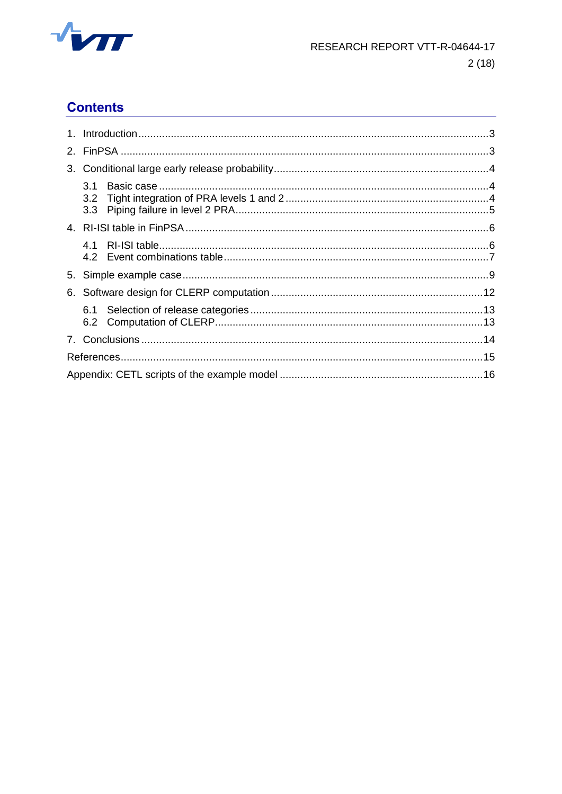

# **Contents**

| 3.1<br>3.2 <sub>2</sub><br>3.3 |  |
|--------------------------------|--|
|                                |  |
| 41                             |  |
|                                |  |
|                                |  |
| 6.1                            |  |
|                                |  |
|                                |  |
|                                |  |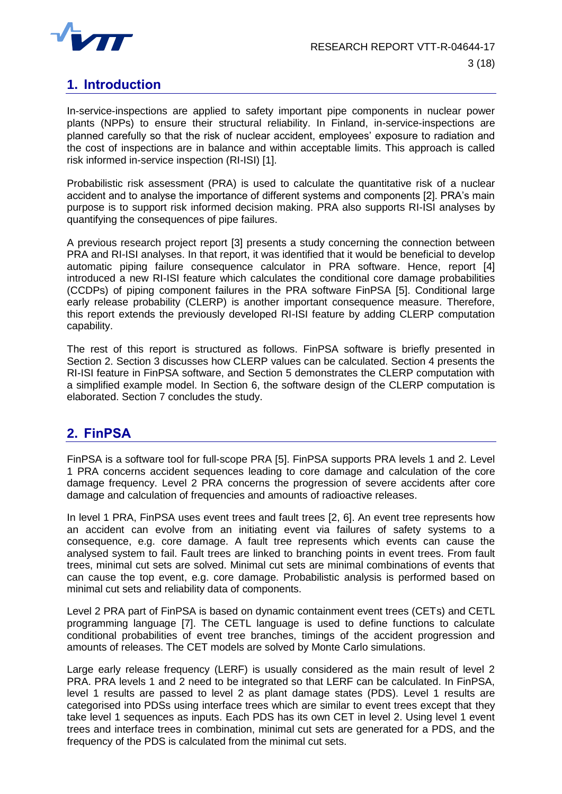

## **1. Introduction**

In-service-inspections are applied to safety important pipe components in nuclear power plants (NPPs) to ensure their structural reliability. In Finland, in-service-inspections are planned carefully so that the risk of nuclear accident, employees' exposure to radiation and the cost of inspections are in balance and within acceptable limits. This approach is called risk informed in-service inspection (RI-ISI) [1].

Probabilistic risk assessment (PRA) is used to calculate the quantitative risk of a nuclear accident and to analyse the importance of different systems and components [2]. PRA's main purpose is to support risk informed decision making. PRA also supports RI-ISI analyses by quantifying the consequences of pipe failures.

A previous research project report [3] presents a study concerning the connection between PRA and RI-ISI analyses. In that report, it was identified that it would be beneficial to develop automatic piping failure consequence calculator in PRA software. Hence, report [4] introduced a new RI-ISI feature which calculates the conditional core damage probabilities (CCDPs) of piping component failures in the PRA software FinPSA [5]. Conditional large early release probability (CLERP) is another important consequence measure. Therefore, this report extends the previously developed RI-ISI feature by adding CLERP computation capability.

The rest of this report is structured as follows. FinPSA software is briefly presented in Section 2. Section 3 discusses how CLERP values can be calculated. Section 4 presents the RI-ISI feature in FinPSA software, and Section 5 demonstrates the CLERP computation with a simplified example model. In Section 6, the software design of the CLERP computation is elaborated. Section 7 concludes the study.

## **2. FinPSA**

FinPSA is a software tool for full-scope PRA [5]. FinPSA supports PRA levels 1 and 2. Level 1 PRA concerns accident sequences leading to core damage and calculation of the core damage frequency. Level 2 PRA concerns the progression of severe accidents after core damage and calculation of frequencies and amounts of radioactive releases.

In level 1 PRA, FinPSA uses event trees and fault trees [2, 6]. An event tree represents how an accident can evolve from an initiating event via failures of safety systems to a consequence, e.g. core damage. A fault tree represents which events can cause the analysed system to fail. Fault trees are linked to branching points in event trees. From fault trees, minimal cut sets are solved. Minimal cut sets are minimal combinations of events that can cause the top event, e.g. core damage. Probabilistic analysis is performed based on minimal cut sets and reliability data of components.

Level 2 PRA part of FinPSA is based on dynamic containment event trees (CETs) and CETL programming language [7]. The CETL language is used to define functions to calculate conditional probabilities of event tree branches, timings of the accident progression and amounts of releases. The CET models are solved by Monte Carlo simulations.

Large early release frequency (LERF) is usually considered as the main result of level 2 PRA. PRA levels 1 and 2 need to be integrated so that LERF can be calculated. In FinPSA, level 1 results are passed to level 2 as plant damage states (PDS). Level 1 results are categorised into PDSs using interface trees which are similar to event trees except that they take level 1 sequences as inputs. Each PDS has its own CET in level 2. Using level 1 event trees and interface trees in combination, minimal cut sets are generated for a PDS, and the frequency of the PDS is calculated from the minimal cut sets.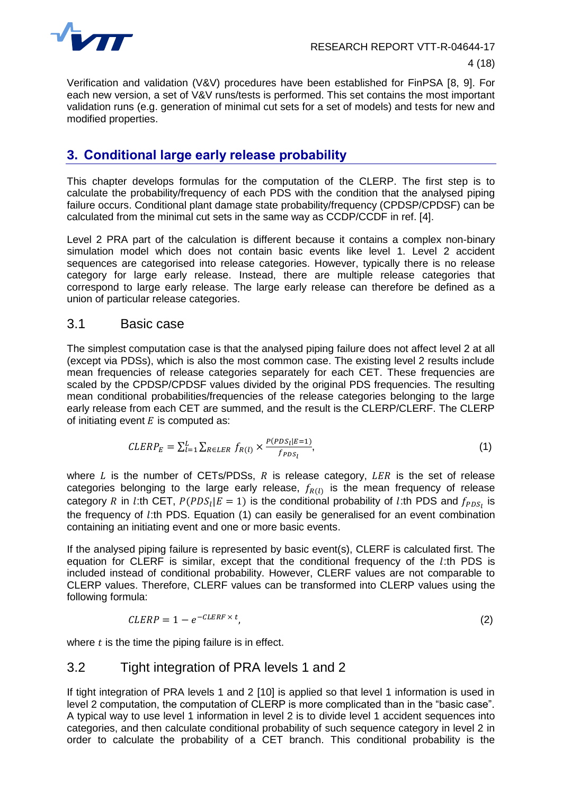

Verification and validation (V&V) procedures have been established for FinPSA [8, 9]. For each new version, a set of V&V runs/tests is performed. This set contains the most important validation runs (e.g. generation of minimal cut sets for a set of models) and tests for new and modified properties.

## **3. Conditional large early release probability**

This chapter develops formulas for the computation of the CLERP. The first step is to calculate the probability/frequency of each PDS with the condition that the analysed piping failure occurs. Conditional plant damage state probability/frequency (CPDSP/CPDSF) can be calculated from the minimal cut sets in the same way as CCDP/CCDF in ref. [4].

Level 2 PRA part of the calculation is different because it contains a complex non-binary simulation model which does not contain basic events like level 1. Level 2 accident sequences are categorised into release categories. However, typically there is no release category for large early release. Instead, there are multiple release categories that correspond to large early release. The large early release can therefore be defined as a union of particular release categories.

#### 3.1 Basic case

The simplest computation case is that the analysed piping failure does not affect level 2 at all (except via PDSs), which is also the most common case. The existing level 2 results include mean frequencies of release categories separately for each CET. These frequencies are scaled by the CPDSP/CPDSF values divided by the original PDS frequencies. The resulting mean conditional probabilities/frequencies of the release categories belonging to the large early release from each CET are summed, and the result is the CLERP/CLERF. The CLERP of initiating event  $E$  is computed as:

$$
CLERP_E = \sum_{l=1}^{L} \sum_{R \in LER} f_{R(l)} \times \frac{P(PDS_l|E=1)}{f_{PDS_l}},
$$
\n
$$
\tag{1}
$$

where  $L$  is the number of CETs/PDSs,  $R$  is release category,  $LER$  is the set of release categories belonging to the large early release,  $f_{R(l)}$  is the mean frequency of release category R in l:th CET,  $P(PDS_l | E = 1)$  is the conditional probability of l:th PDS and  $f_{PDS_l}$  is the frequency of  $l$ :th PDS. Equation (1) can easily be generalised for an event combination containing an initiating event and one or more basic events.

If the analysed piping failure is represented by basic event(s), CLERF is calculated first. The equation for CLERF is similar, except that the conditional frequency of the  $l$ :th PDS is included instead of conditional probability. However, CLERF values are not comparable to CLERP values. Therefore, CLERF values can be transformed into CLERP values using the following formula:

$$
CLERP = 1 - e^{-CLERF \times t}, \tag{2}
$$

where  $t$  is the time the piping failure is in effect.

#### 3.2 Tight integration of PRA levels 1 and 2

If tight integration of PRA levels 1 and 2 [10] is applied so that level 1 information is used in level 2 computation, the computation of CLERP is more complicated than in the "basic case". A typical way to use level 1 information in level 2 is to divide level 1 accident sequences into categories, and then calculate conditional probability of such sequence category in level 2 in order to calculate the probability of a CET branch. This conditional probability is the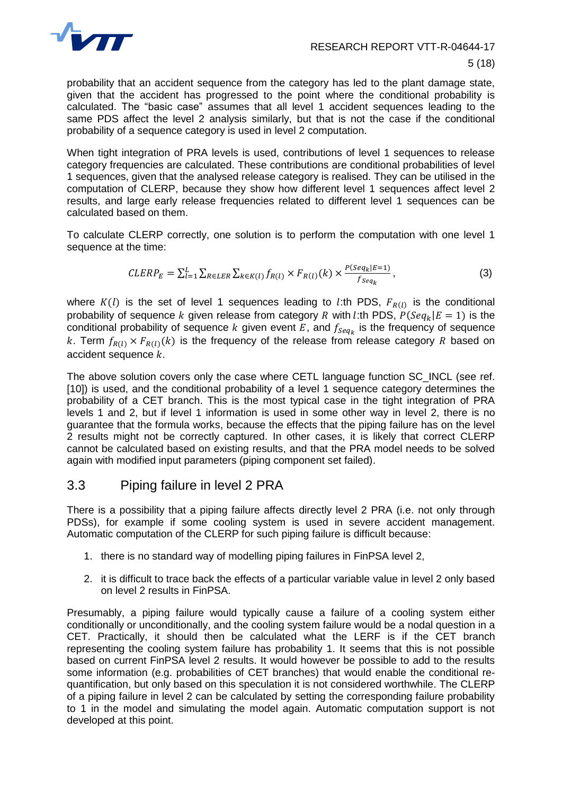

probability that an accident sequence from the category has led to the plant damage state, given that the accident has progressed to the point where the conditional probability is calculated. The "basic case" assumes that all level 1 accident sequences leading to the same PDS affect the level 2 analysis similarly, but that is not the case if the conditional probability of a sequence category is used in level 2 computation.

When tight integration of PRA levels is used, contributions of level 1 sequences to release category frequencies are calculated. These contributions are conditional probabilities of level 1 sequences, given that the analysed release category is realised. They can be utilised in the computation of CLERP, because they show how different level 1 sequences affect level 2 results, and large early release frequencies related to different level 1 sequences can be calculated based on them.

To calculate CLERP correctly, one solution is to perform the computation with one level 1 sequence at the time:

$$
CLERP_E = \sum_{l=1}^{L} \sum_{R \in LER} \sum_{k \in K(l)} f_{R(l)} \times F_{R(l)}(k) \times \frac{P(Seq_k|E=1)}{f_{seq_k}},
$$
\n(3)

where  $K(l)$  is the set of level 1 sequences leading to l:th PDS,  $F_{R(l)}$  is the conditional probability of sequence k given release from category R with l:th PDS,  $P(Seq_k | E = 1)$  is the conditional probability of sequence  $k$  given event  $E$ , and  $f_{Seq_k}$  is the frequency of sequence k. Term  $f_{R(I)} \times F_{R(I)}(k)$  is the frequency of the release from release category R based on accident sequence  $k$ .

The above solution covers only the case where CETL language function SC INCL (see ref. [10]) is used, and the conditional probability of a level 1 sequence category determines the probability of a CET branch. This is the most typical case in the tight integration of PRA levels 1 and 2, but if level 1 information is used in some other way in level 2, there is no guarantee that the formula works, because the effects that the piping failure has on the level 2 results might not be correctly captured. In other cases, it is likely that correct CLERP cannot be calculated based on existing results, and that the PRA model needs to be solved again with modified input parameters (piping component set failed).

#### 3.3 Piping failure in level 2 PRA

There is a possibility that a piping failure affects directly level 2 PRA (i.e. not only through PDSs), for example if some cooling system is used in severe accident management. Automatic computation of the CLERP for such piping failure is difficult because:

- 1. there is no standard way of modelling piping failures in FinPSA level 2,
- 2. it is difficult to trace back the effects of a particular variable value in level 2 only based on level 2 results in FinPSA.

Presumably, a piping failure would typically cause a failure of a cooling system either conditionally or unconditionally, and the cooling system failure would be a nodal question in a CET. Practically, it should then be calculated what the LERF is if the CET branch representing the cooling system failure has probability 1. It seems that this is not possible based on current FinPSA level 2 results. It would however be possible to add to the results some information (e.g. probabilities of CET branches) that would enable the conditional requantification, but only based on this speculation it is not considered worthwhile. The CLERP of a piping failure in level 2 can be calculated by setting the corresponding failure probability to 1 in the model and simulating the model again. Automatic computation support is not developed at this point.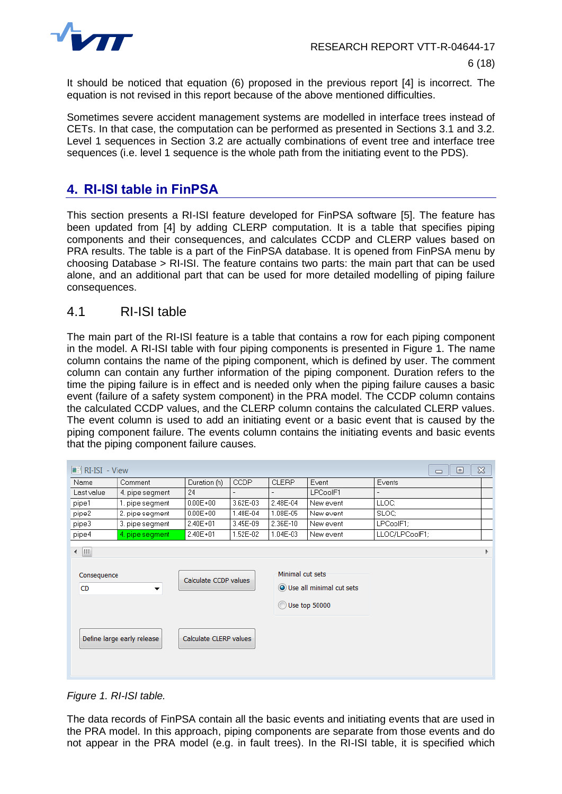

It should be noticed that equation (6) proposed in the previous report [4] is incorrect. The equation is not revised in this report because of the above mentioned difficulties.

Sometimes severe accident management systems are modelled in interface trees instead of CETs. In that case, the computation can be performed as presented in Sections 3.1 and 3.2. Level 1 sequences in Section 3.2 are actually combinations of event tree and interface tree sequences (i.e. level 1 sequence is the whole path from the initiating event to the PDS).

#### **4. RI-ISI table in FinPSA**

This section presents a RI-ISI feature developed for FinPSA software [5]. The feature has been updated from [4] by adding CLERP computation. It is a table that specifies piping components and their consequences, and calculates CCDP and CLERP values based on PRA results. The table is a part of the FinPSA database. It is opened from FinPSA menu by choosing Database > RI-ISI. The feature contains two parts: the main part that can be used alone, and an additional part that can be used for more detailed modelling of piping failure consequences.

#### 4.1 RI-ISI table

The main part of the RI-ISI feature is a table that contains a row for each piping component in the model. A RI-ISI table with four piping components is presented in [Figure 1.](#page-6-0) The name column contains the name of the piping component, which is defined by user. The comment column can contain any further information of the piping component. Duration refers to the time the piping failure is in effect and is needed only when the piping failure causes a basic event (failure of a safety system component) in the PRA model. The CCDP column contains the calculated CCDP values, and the CLERP column contains the calculated CLERP values. The event column is used to add an initiating event or a basic event that is caused by the piping component failure. The events column contains the initiating events and basic events that the piping component failure causes.

| $\boxed{\blacksquare}$ RI-ISI - View                                                    |                            |                        |                                             |                          |           | $\boldsymbol{\boxtimes}$<br>▣<br>$\qquad \qquad \Box$ |
|-----------------------------------------------------------------------------------------|----------------------------|------------------------|---------------------------------------------|--------------------------|-----------|-------------------------------------------------------|
| Name                                                                                    | Comment                    | Duration (h)           | <b>CCDP</b>                                 | <b>CLERP</b>             | Event     | Events                                                |
| Last value                                                                              | 4. pipe segment            | 24                     | $\overline{a}$                              | $\overline{\phantom{0}}$ | LPCoolF1  | $\overline{a}$                                        |
| pipe1                                                                                   | 1. pipe segment            | $0.00E + 00$           | 3.62E-03                                    | 2.48E-04                 | New event | LLOC:                                                 |
| pipe2                                                                                   | 2. pipe segment            | $0.00E + 00$           | 1.48E-04                                    | 1.08E-05                 | New event | SLOC:                                                 |
| pipe3                                                                                   | 3. pipe segment            | $2.40E + 01$           | 3.45E-09                                    | 2.36E-10                 | New event | LPCoolF1;                                             |
| pipe4                                                                                   | 4. pipe segment            | $2.40E + 01$           | 1.52E-02                                    | 1.04E-03                 | New event | LLOC/LPCoolF1;                                        |
| ← IIII<br>Consequence<br>Calculate CCDP values<br><b>CD</b><br>$\overline{\phantom{a}}$ |                            | Minimal cut sets<br>∩  | O Use all minimal cut sets<br>Use top 50000 |                          |           |                                                       |
|                                                                                         | Define large early release | Calculate CLERP values |                                             |                          |           |                                                       |

<span id="page-6-0"></span>*Figure 1. RI-ISI table.*

The data records of FinPSA contain all the basic events and initiating events that are used in the PRA model. In this approach, piping components are separate from those events and do not appear in the PRA model (e.g. in fault trees). In the RI-ISI table, it is specified which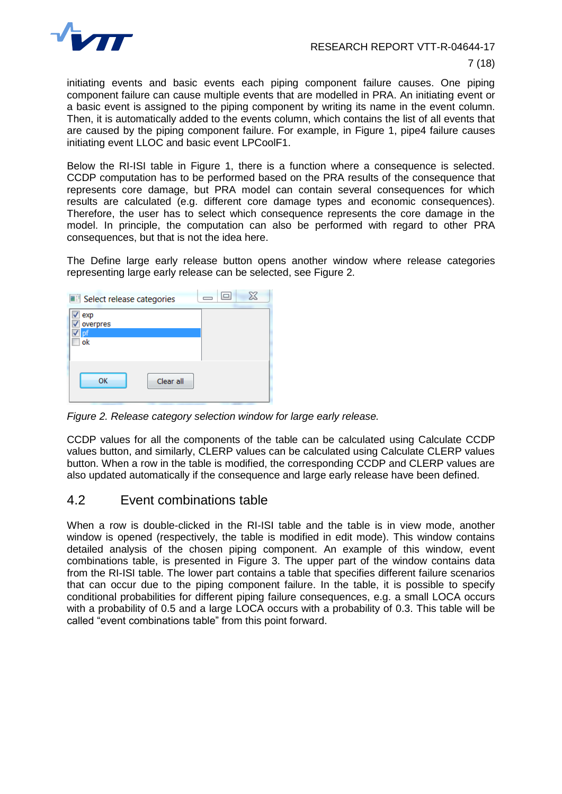

initiating events and basic events each piping component failure causes. One piping component failure can cause multiple events that are modelled in PRA. An initiating event or a basic event is assigned to the piping component by writing its name in the event column. Then, it is automatically added to the events column, which contains the list of all events that are caused by the piping component failure. For example, in [Figure 1,](#page-6-0) pipe4 failure causes initiating event LLOC and basic event LPCoolF1.

Below the RI-ISI table in Figure 1, there is a function where a consequence is selected. CCDP computation has to be performed based on the PRA results of the consequence that represents core damage, but PRA model can contain several consequences for which results are calculated (e.g. different core damage types and economic consequences). Therefore, the user has to select which consequence represents the core damage in the model. In principle, the computation can also be performed with regard to other PRA consequences, but that is not the idea here.

The Define large early release button opens another window where release categories representing large early release can be selected, see [Figure 2.](#page-7-0)

| Select release categories |           |  |
|---------------------------|-----------|--|
| exp<br>overpres           |           |  |
| ok                        |           |  |
| ОК                        | Clear all |  |

<span id="page-7-0"></span>*Figure 2. Release category selection window for large early release.*

CCDP values for all the components of the table can be calculated using Calculate CCDP values button, and similarly, CLERP values can be calculated using Calculate CLERP values button. When a row in the table is modified, the corresponding CCDP and CLERP values are also updated automatically if the consequence and large early release have been defined.

#### 4.2 Event combinations table

When a row is double-clicked in the RI-ISI table and the table is in view mode, another window is opened (respectively, the table is modified in edit mode). This window contains detailed analysis of the chosen piping component. An example of this window, event combinations table, is presented in [Figure 3.](#page-8-0) The upper part of the window contains data from the RI-ISI table. The lower part contains a table that specifies different failure scenarios that can occur due to the piping component failure. In the table, it is possible to specify conditional probabilities for different piping failure consequences, e.g. a small LOCA occurs with a probability of 0.5 and a large LOCA occurs with a probability of 0.3. This table will be called "event combinations table" from this point forward.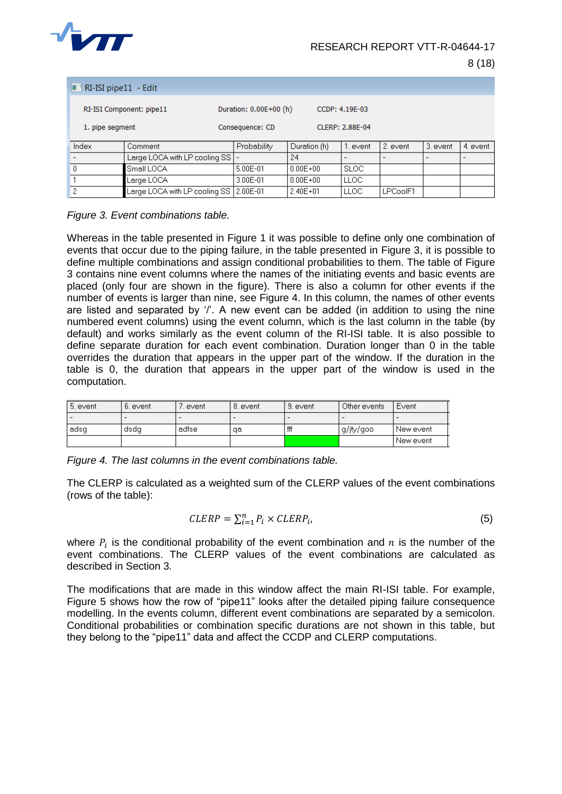

|                          | $R-ISI$ pipe11 - Edit |                                          |                        |              |                 |          |          |          |
|--------------------------|-----------------------|------------------------------------------|------------------------|--------------|-----------------|----------|----------|----------|
| RI-ISI Component: pipe11 |                       |                                          | Duration: 0.00E+00 (h) |              | CCDP: 4.19E-03  |          |          |          |
| 1. pipe segment          |                       |                                          | Consequence: CD        |              | CLERP: 2.88E-04 |          |          |          |
|                          | Index                 | Comment                                  | Probability            | Duration (h) | 1. event.       | 2. event | 3. event | 4. event |
|                          |                       | Large LOCA with LP cooling SS            |                        | 24           |                 |          |          |          |
|                          | 0                     | Small LOCA                               | $5.00E - 01$           | $0.00E + 00$ | <b>SLOC</b>     |          |          |          |
|                          |                       | Large LOCA.                              | 3.00E-01               | $0.00E + 00$ | <b>LLOC</b>     |          |          |          |
|                          | 2                     | Large LOCA with LP cooling SS   2.00E-01 |                        | $2.40E + 01$ | LLOC            | LPCoolF1 |          |          |

<span id="page-8-0"></span>*Figure 3. Event combinations table.*

Whereas in the table presented in [Figure 1](#page-6-0) it was possible to define only one combination of events that occur due to the piping failure, in the table presented in [Figure 3,](#page-8-0) it is possible to define multiple combinations and assign conditional probabilities to them. The table of [Figure](#page-8-0)  [3](#page-8-0) contains nine event columns where the names of the initiating events and basic events are placed (only four are shown in the figure). There is also a column for other events if the number of events is larger than nine, see [Figure 4.](#page-8-1) In this column, the names of other events are listed and separated by '/'. A new event can be added (in addition to using the nine numbered event columns) using the event column, which is the last column in the table (by default) and works similarly as the event column of the RI-ISI table. It is also possible to define separate duration for each event combination. Duration longer than 0 in the table overrides the duration that appears in the upper part of the window. If the duration in the table is 0, the duration that appears in the upper part of the window is used in the computation.

| 5. event | 6. event | event | 8. event | 9. event                 | Other events | Event     |
|----------|----------|-------|----------|--------------------------|--------------|-----------|
|          |          |       | -        | $\overline{\phantom{a}}$ |              |           |
| adsg     | dsda     | adfse | αa       | fff                      | g/jty/goo    | New event |
|          |          |       |          |                          |              | New event |

<span id="page-8-1"></span>*Figure 4. The last columns in the event combinations table.*

The CLERP is calculated as a weighted sum of the CLERP values of the event combinations (rows of the table):

$$
CLERP = \sum_{i=1}^{n} P_i \times CLERP_i, \tag{5}
$$

where  $P_i$  is the conditional probability of the event combination and  $n$  is the number of the event combinations. The CLERP values of the event combinations are calculated as described in Section 3.

The modifications that are made in this window affect the main RI-ISI table. For example, [Figure 5](#page-9-0) shows how the row of "pipe11" looks after the detailed piping failure consequence modelling. In the events column, different event combinations are separated by a semicolon. Conditional probabilities or combination specific durations are not shown in this table, but they belong to the "pipe11" data and affect the CCDP and CLERP computations.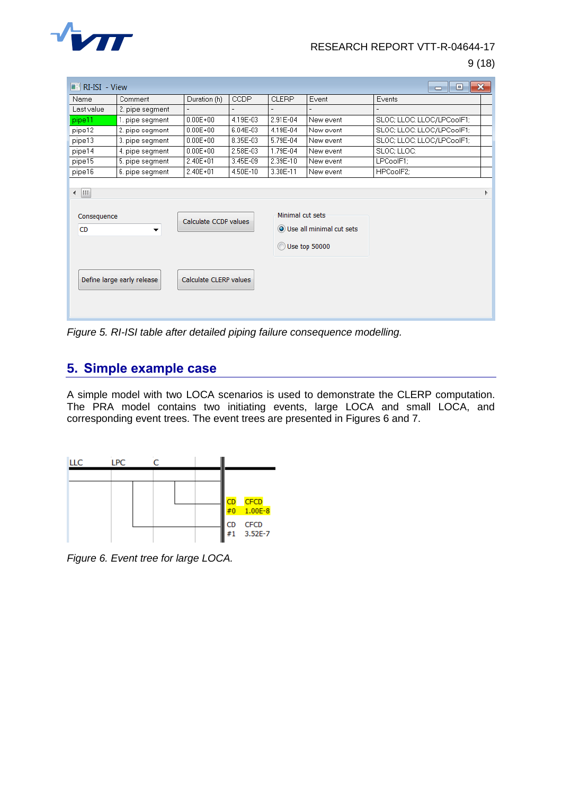

9 (18)

| $\blacksquare$ RI-ISI - View                                          |                 |                                                 |             |                  |                                             | $\mathbf{x}$<br>▣<br><b>- 1</b> |
|-----------------------------------------------------------------------|-----------------|-------------------------------------------------|-------------|------------------|---------------------------------------------|---------------------------------|
| Name                                                                  | Comment         | Duration (h)                                    | <b>CCDP</b> | <b>CLERP</b>     | Event                                       | Events                          |
| Last value                                                            | 2. pipe segment | $\overline{\phantom{a}}$                        |             |                  |                                             |                                 |
| pipe11                                                                | 1. pipe segment | $0.00E + 00$                                    | 4.19E-03    | 2.91E-04         | New event                                   | SLOC; LLOC; LLOC/LPCoolF1;      |
| pipe12                                                                | 2. pipe segment | $0.00E + 00$                                    | 6.04E-03    | 4.19E-04         | New event                                   | SLOC; LLOC; LLOC/LPCoolF1;      |
| pipe13                                                                | 3. pipe segment | $0.00E + 00$                                    | 8.35E-03    | 5.79E-04         | New event                                   | SLOC; LLOC; LLOC/LPCoolF1;      |
| pipe14                                                                | 4. pipe segment | $0.00E + 00$                                    | 2.58E-03    | 1.79E-04         | New event                                   | SLOC; LLOC;                     |
| pipe15                                                                | 5. pipe segment | $2.40E + 01$                                    | 3.45E-09    | 2.39E-10         | New event                                   | LPCoolF1;                       |
| pipe16                                                                | 6. pipe seqment | $2.40E + 01$                                    | 4.50E-10    | 3.30E-11         | New event                                   | HPCoolF2:                       |
| ← IIII<br>Consequence<br><b>CD</b><br>▼<br>Define large early release |                 | Calculate CCDP values<br>Calculate CLERP values |             | Minimal cut sets | O Use all minimal cut sets<br>Use top 50000 |                                 |
|                                                                       |                 |                                                 |             |                  |                                             |                                 |

<span id="page-9-0"></span>*Figure 5. RI-ISI table after detailed piping failure consequence modelling.*

## **5. Simple example case**

A simple model with two LOCA scenarios is used to demonstrate the CLERP computation. The PRA model contains two initiating events, large LOCA and small LOCA, and corresponding event trees. The event trees are presented in Figures 6 and 7.



*Figure 6. Event tree for large LOCA.*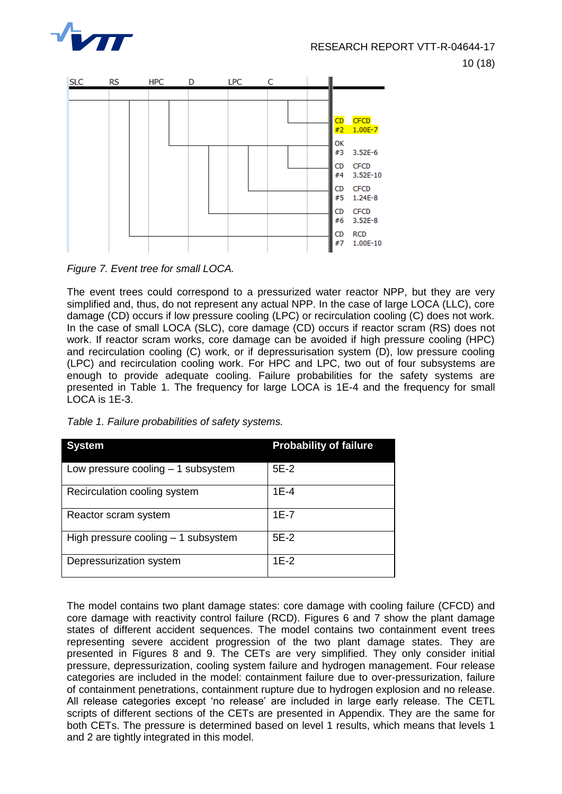



*Figure 7. Event tree for small LOCA.*

The event trees could correspond to a pressurized water reactor NPP, but they are very simplified and, thus, do not represent any actual NPP. In the case of large LOCA (LLC), core damage (CD) occurs if low pressure cooling (LPC) or recirculation cooling (C) does not work. In the case of small LOCA (SLC), core damage (CD) occurs if reactor scram (RS) does not work. If reactor scram works, core damage can be avoided if high pressure cooling (HPC) and recirculation cooling (C) work, or if depressurisation system (D), low pressure cooling (LPC) and recirculation cooling work. For HPC and LPC, two out of four subsystems are enough to provide adequate cooling. Failure probabilities for the safety systems are presented in [Table 1.](#page-10-0) The frequency for large LOCA is 1E-4 and the frequency for small LOCA is 1E-3.

<span id="page-10-0"></span>

| Table 1. Failure probabilities of safety systems. |  |  |
|---------------------------------------------------|--|--|
|---------------------------------------------------|--|--|

| <b>System</b>                        | <b>Probability of failure</b> |
|--------------------------------------|-------------------------------|
| Low pressure cooling $-1$ subsystem  | $5E-2$                        |
| Recirculation cooling system         | $1E-4$                        |
| Reactor scram system                 | $1E-7$                        |
| High pressure cooling $-1$ subsystem | $5E-2$                        |
| Depressurization system              | $1E-2$                        |

The model contains two plant damage states: core damage with cooling failure (CFCD) and core damage with reactivity control failure (RCD). Figures 6 and 7 show the plant damage states of different accident sequences. The model contains two containment event trees representing severe accident progression of the two plant damage states. They are presented in Figures 8 and 9. The CETs are very simplified. They only consider initial pressure, depressurization, cooling system failure and hydrogen management. Four release categories are included in the model: containment failure due to over-pressurization, failure of containment penetrations, containment rupture due to hydrogen explosion and no release. All release categories except 'no release' are included in large early release. The CETL scripts of different sections of the CETs are presented in Appendix. They are the same for both CETs. The pressure is determined based on level 1 results, which means that levels 1 and 2 are tightly integrated in this model.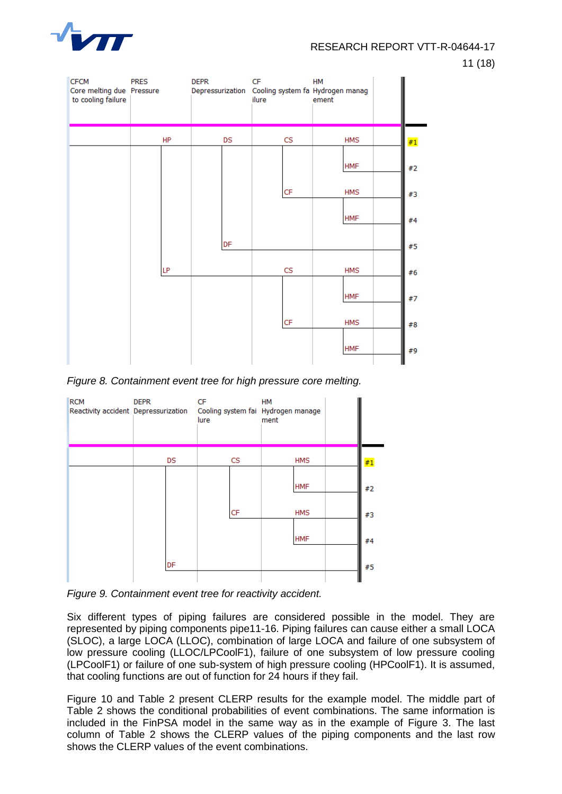

11 (18)



*Figure 8. Containment event tree for high pressure core melting.*



*Figure 9. Containment event tree for reactivity accident.*

Six different types of piping failures are considered possible in the model. They are represented by piping components pipe11-16. Piping failures can cause either a small LOCA (SLOC), a large LOCA (LLOC), combination of large LOCA and failure of one subsystem of low pressure cooling (LLOC/LPCoolF1), failure of one subsystem of low pressure cooling (LPCoolF1) or failure of one sub-system of high pressure cooling (HPCoolF1). It is assumed, that cooling functions are out of function for 24 hours if they fail.

[Figure 10](#page-12-0) and [Table 2](#page-12-1) present CLERP results for the example model. The middle part of [Table 2](#page-12-1) shows the conditional probabilities of event combinations. The same information is included in the FinPSA model in the same way as in the example of [Figure 3.](#page-8-0) The last column of [Table 2](#page-12-1) shows the CLERP values of the piping components and the last row shows the CLERP values of the event combinations.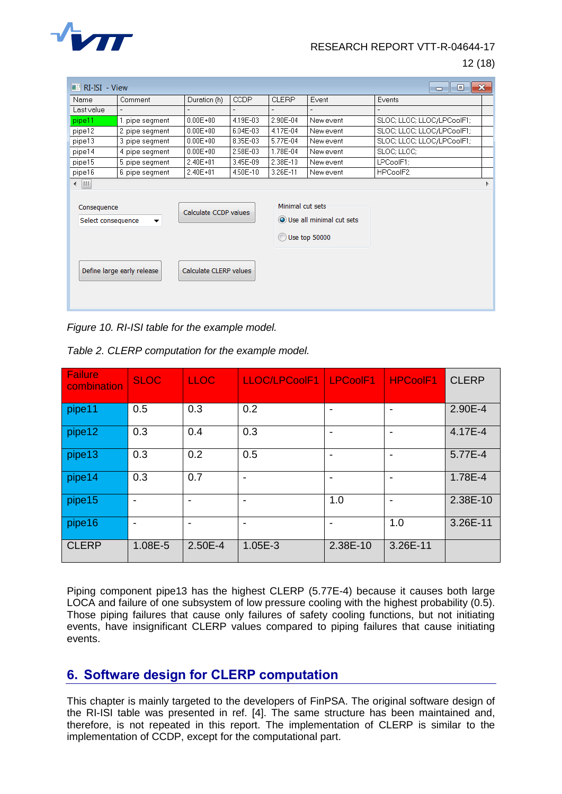

12 (18)

| $\blacksquare$ RI-ISI - View                                                                                            |                 |              |             |                  |                                             | $\mathbf{x}$<br>▣<br>$\Box$ |
|-------------------------------------------------------------------------------------------------------------------------|-----------------|--------------|-------------|------------------|---------------------------------------------|-----------------------------|
| Name                                                                                                                    | Comment         | Duration (h) | <b>CCDP</b> | <b>CLERP</b>     | Event                                       | Events                      |
| Last value                                                                                                              |                 |              |             |                  |                                             |                             |
| pipe11                                                                                                                  | 1. pipe seqment | $0.00E + 00$ | 4.19E-03    | 2.90E-04         | New event                                   | SLOC; LLOC; LLOC/LPCoolF1;  |
| pipe12                                                                                                                  | 2. pipe segment | $0.00E + 00$ | 6.04E-03    | 4.17E-04         | New event                                   | SLOC; LLOC; LLOC/LPCoolF1;  |
| pipe13                                                                                                                  | 3. pipe segment | $0.00E + 00$ | 8.35E-03    | 5.77E-04         | New event                                   | SLOC; LLOC; LLOC/LPCoolF1;  |
| pipe14                                                                                                                  | 4. pipe segment | $0.00E + 00$ | 2.58E-03    | 1.78E-04         | New event                                   | SLOC; LLOC;                 |
| pipe15                                                                                                                  | 5. pipe segment | $2.40E + 01$ | 3.45E-09    | 2.38E-10         | New event                                   | LPCoolF1;                   |
| pipe16                                                                                                                  | 6, pipe segment | $2.40E + 01$ | 4.50E-10    | 3.26E-11         | New event                                   | HPCoolF2;                   |
| ∢ ∭                                                                                                                     |                 |              |             |                  |                                             |                             |
| Consequence<br>Calculate CCDP values<br>Select consequence<br>▼<br>Define large early release<br>Calculate CLERP values |                 |              |             | Minimal cut sets | O Use all minimal cut sets<br>Use top 50000 |                             |

<span id="page-12-0"></span>*Figure 10. RI-ISI table for the example model.*

| <b>Failure</b><br>combination | <b>SLOC</b> | <b>LLOC</b> | LLOC/LPCoolF1 | <b>LPCoolF1</b> | <b>HPCoolF1</b>          | <b>CLERP</b> |
|-------------------------------|-------------|-------------|---------------|-----------------|--------------------------|--------------|
| pipe11                        | 0.5         | 0.3         | 0.2           |                 |                          | 2.90E-4      |
| pipe12                        | 0.3         | 0.4         | 0.3           |                 | $\overline{\phantom{0}}$ | 4.17E-4      |
| pipe13                        | 0.3         | 0.2         | 0.5           |                 | $\overline{\phantom{0}}$ | 5.77E-4      |
| pipe14                        | 0.3         | 0.7         |               |                 | -                        | 1.78E-4      |
| pipe15                        | ٠           |             |               | 1.0             | $\overline{\phantom{0}}$ | 2.38E-10     |
| pipe16                        | ٠           |             |               |                 | 1.0                      | 3.26E-11     |
| <b>CLERP</b>                  | 1.08E-5     | 2.50E-4     | 1.05E-3       | 2.38E-10        | 3.26E-11                 |              |

<span id="page-12-1"></span>*Table 2. CLERP computation for the example model.*

Piping component pipe13 has the highest CLERP (5.77E-4) because it causes both large LOCA and failure of one subsystem of low pressure cooling with the highest probability (0.5). Those piping failures that cause only failures of safety cooling functions, but not initiating events, have insignificant CLERP values compared to piping failures that cause initiating events.

#### **6. Software design for CLERP computation**

This chapter is mainly targeted to the developers of FinPSA. The original software design of the RI-ISI table was presented in ref. [4]. The same structure has been maintained and, therefore, is not repeated in this report. The implementation of CLERP is similar to the implementation of CCDP, except for the computational part.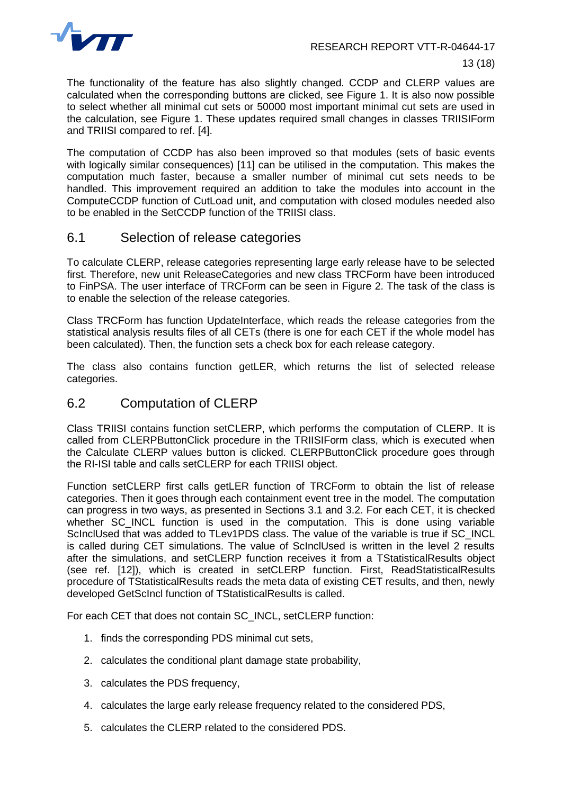

The functionality of the feature has also slightly changed. CCDP and CLERP values are calculated when the corresponding buttons are clicked, see [Figure 1.](#page-6-0) It is also now possible to select whether all minimal cut sets or 50000 most important minimal cut sets are used in the calculation, see [Figure 1.](#page-6-0) These updates required small changes in classes TRIISIForm and TRIISI compared to ref. [4].

The computation of CCDP has also been improved so that modules (sets of basic events with logically similar consequences) [11] can be utilised in the computation. This makes the computation much faster, because a smaller number of minimal cut sets needs to be handled. This improvement required an addition to take the modules into account in the ComputeCCDP function of CutLoad unit, and computation with closed modules needed also to be enabled in the SetCCDP function of the TRIISI class.

#### 6.1 Selection of release categories

To calculate CLERP, release categories representing large early release have to be selected first. Therefore, new unit ReleaseCategories and new class TRCForm have been introduced to FinPSA. The user interface of TRCForm can be seen in [Figure 2.](#page-7-0) The task of the class is to enable the selection of the release categories.

Class TRCForm has function UpdateInterface, which reads the release categories from the statistical analysis results files of all CETs (there is one for each CET if the whole model has been calculated). Then, the function sets a check box for each release category.

The class also contains function getLER, which returns the list of selected release categories.

#### 6.2 Computation of CLERP

Class TRIISI contains function setCLERP, which performs the computation of CLERP. It is called from CLERPButtonClick procedure in the TRIISIForm class, which is executed when the Calculate CLERP values button is clicked. CLERPButtonClick procedure goes through the RI-ISI table and calls setCLERP for each TRIISI object.

Function setCLERP first calls getLER function of TRCForm to obtain the list of release categories. Then it goes through each containment event tree in the model. The computation can progress in two ways, as presented in Sections 3.1 and 3.2. For each CET, it is checked whether SC\_INCL function is used in the computation. This is done using variable ScInclUsed that was added to TLev1PDS class. The value of the variable is true if SC\_INCL is called during CET simulations. The value of ScInclUsed is written in the level 2 results after the simulations, and setCLERP function receives it from a TStatisticalResults object (see ref. [12]), which is created in setCLERP function. First, ReadStatisticalResults procedure of TStatisticalResults reads the meta data of existing CET results, and then, newly developed GetScIncl function of TStatisticalResults is called.

For each CET that does not contain SC\_INCL, setCLERP function:

- 1. finds the corresponding PDS minimal cut sets,
- 2. calculates the conditional plant damage state probability,
- 3. calculates the PDS frequency,
- 4. calculates the large early release frequency related to the considered PDS,
- 5. calculates the CLERP related to the considered PDS.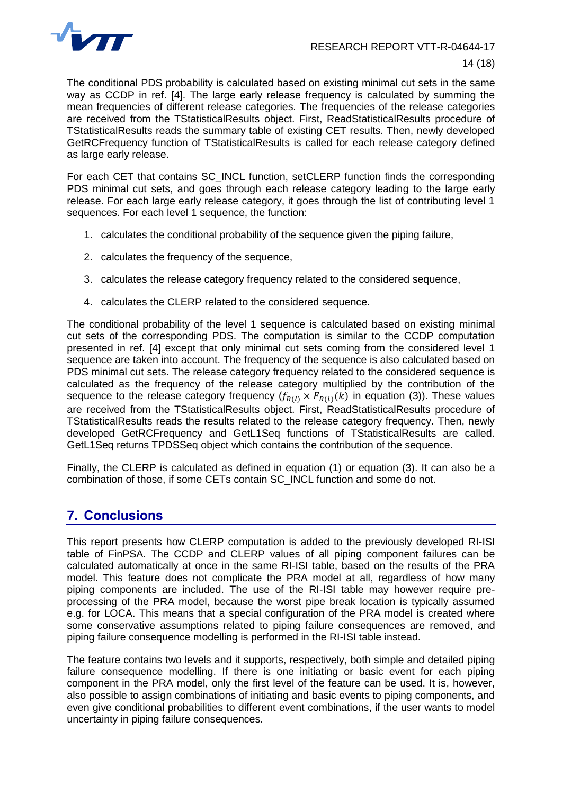

The conditional PDS probability is calculated based on existing minimal cut sets in the same way as CCDP in ref. [4]. The large early release frequency is calculated by summing the mean frequencies of different release categories. The frequencies of the release categories are received from the TStatisticalResults object. First, ReadStatisticalResults procedure of TStatisticalResults reads the summary table of existing CET results. Then, newly developed GetRCFrequency function of TStatisticalResults is called for each release category defined as large early release.

For each CET that contains SC\_INCL function, setCLERP function finds the corresponding PDS minimal cut sets, and goes through each release category leading to the large early release. For each large early release category, it goes through the list of contributing level 1 sequences. For each level 1 sequence, the function:

- 1. calculates the conditional probability of the sequence given the piping failure,
- 2. calculates the frequency of the sequence,
- 3. calculates the release category frequency related to the considered sequence,
- 4. calculates the CLERP related to the considered sequence.

The conditional probability of the level 1 sequence is calculated based on existing minimal cut sets of the corresponding PDS. The computation is similar to the CCDP computation presented in ref. [4] except that only minimal cut sets coming from the considered level 1 sequence are taken into account. The frequency of the sequence is also calculated based on PDS minimal cut sets. The release category frequency related to the considered sequence is calculated as the frequency of the release category multiplied by the contribution of the sequence to the release category frequency  $(f_{R(l)} \times F_{R(l)}(k))$  in equation (3)). These values are received from the TStatisticalResults object. First, ReadStatisticalResults procedure of TStatisticalResults reads the results related to the release category frequency. Then, newly developed GetRCFrequency and GetL1Seq functions of TStatisticalResults are called. GetL1Seq returns TPDSSeq object which contains the contribution of the sequence.

Finally, the CLERP is calculated as defined in equation (1) or equation (3). It can also be a combination of those, if some CETs contain SC\_INCL function and some do not.

## **7. Conclusions**

This report presents how CLERP computation is added to the previously developed RI-ISI table of FinPSA. The CCDP and CLERP values of all piping component failures can be calculated automatically at once in the same RI-ISI table, based on the results of the PRA model. This feature does not complicate the PRA model at all, regardless of how many piping components are included. The use of the RI-ISI table may however require preprocessing of the PRA model, because the worst pipe break location is typically assumed e.g. for LOCA. This means that a special configuration of the PRA model is created where some conservative assumptions related to piping failure consequences are removed, and piping failure consequence modelling is performed in the RI-ISI table instead.

The feature contains two levels and it supports, respectively, both simple and detailed piping failure consequence modelling. If there is one initiating or basic event for each piping component in the PRA model, only the first level of the feature can be used. It is, however, also possible to assign combinations of initiating and basic events to piping components, and even give conditional probabilities to different event combinations, if the user wants to model uncertainty in piping failure consequences.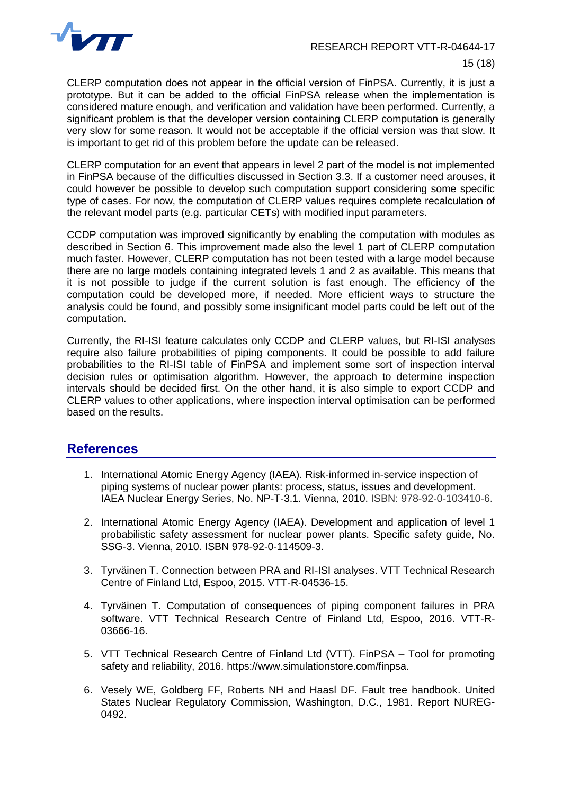

CLERP computation does not appear in the official version of FinPSA. Currently, it is just a prototype. But it can be added to the official FinPSA release when the implementation is considered mature enough, and verification and validation have been performed. Currently, a significant problem is that the developer version containing CLERP computation is generally very slow for some reason. It would not be acceptable if the official version was that slow. It is important to get rid of this problem before the update can be released.

CLERP computation for an event that appears in level 2 part of the model is not implemented in FinPSA because of the difficulties discussed in Section 3.3. If a customer need arouses, it could however be possible to develop such computation support considering some specific type of cases. For now, the computation of CLERP values requires complete recalculation of the relevant model parts (e.g. particular CETs) with modified input parameters.

CCDP computation was improved significantly by enabling the computation with modules as described in Section 6. This improvement made also the level 1 part of CLERP computation much faster. However, CLERP computation has not been tested with a large model because there are no large models containing integrated levels 1 and 2 as available. This means that it is not possible to judge if the current solution is fast enough. The efficiency of the computation could be developed more, if needed. More efficient ways to structure the analysis could be found, and possibly some insignificant model parts could be left out of the computation.

Currently, the RI-ISI feature calculates only CCDP and CLERP values, but RI-ISI analyses require also failure probabilities of piping components. It could be possible to add failure probabilities to the RI-ISI table of FinPSA and implement some sort of inspection interval decision rules or optimisation algorithm. However, the approach to determine inspection intervals should be decided first. On the other hand, it is also simple to export CCDP and CLERP values to other applications, where inspection interval optimisation can be performed based on the results.

#### **References**

- 1. International Atomic Energy Agency (IAEA). Risk-informed in-service inspection of piping systems of nuclear power plants: process, status, issues and development. IAEA Nuclear Energy Series, No. NP-T-3.1. Vienna, 2010. ISBN: 978-92-0-103410-6.
- 2. International Atomic Energy Agency (IAEA). Development and application of level 1 probabilistic safety assessment for nuclear power plants. Specific safety guide, No. SSG-3. Vienna, 2010. ISBN 978-92-0-114509-3.
- 3. Tyrväinen T. Connection between PRA and RI-ISI analyses. VTT Technical Research Centre of Finland Ltd, Espoo, 2015. VTT-R-04536-15.
- 4. Tyrväinen T. Computation of consequences of piping component failures in PRA software. VTT Technical Research Centre of Finland Ltd, Espoo, 2016. VTT-R-03666-16.
- 5. VTT Technical Research Centre of Finland Ltd (VTT). FinPSA Tool for promoting safety and reliability, 2016. https://www.simulationstore.com/finpsa.
- 6. Vesely WE, Goldberg FF, Roberts NH and Haasl DF. Fault tree handbook. United States Nuclear Regulatory Commission, Washington, D.C., 1981. Report NUREG-0492.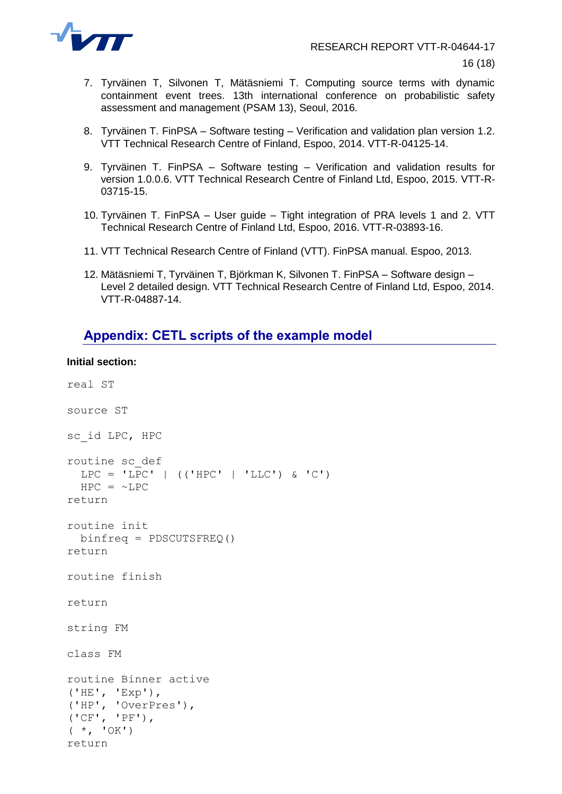

- 7. Tyrväinen T, Silvonen T, Mätäsniemi T. Computing source terms with dynamic containment event trees. 13th international conference on probabilistic safety assessment and management (PSAM 13), Seoul, 2016.
- 8. Tyrväinen T. FinPSA Software testing Verification and validation plan version 1.2. VTT Technical Research Centre of Finland, Espoo, 2014. VTT-R-04125-14.
- 9. Tyrväinen T. FinPSA Software testing Verification and validation results for version 1.0.0.6. VTT Technical Research Centre of Finland Ltd, Espoo, 2015. VTT-R-03715-15.
- 10. Tyrväinen T. FinPSA User guide Tight integration of PRA levels 1 and 2. VTT Technical Research Centre of Finland Ltd, Espoo, 2016. VTT-R-03893-16.
- 11. VTT Technical Research Centre of Finland (VTT). FinPSA manual. Espoo, 2013.
- 12. Mätäsniemi T, Tyrväinen T, Björkman K, Silvonen T. FinPSA Software design Level 2 detailed design. VTT Technical Research Centre of Finland Ltd, Espoo, 2014. VTT-R-04887-14.

### **Appendix: CETL scripts of the example model**

#### **Initial section:**

```
real ST
source ST
sc_id LPC, HPC
routine sc_def
  LPC = 'LPC' | (('HPC' | 'LLC') \& 'C')HPC = ~\sim \text{LPC}return
routine init
  binfreq = PDSCUTSFREQ()
return
routine finish
return
string FM
class FM
routine Binner active
('HE', 'Exp'),
('HP', 'OverPres'),
('CF', 'PF'),
(*, 'OK')return
```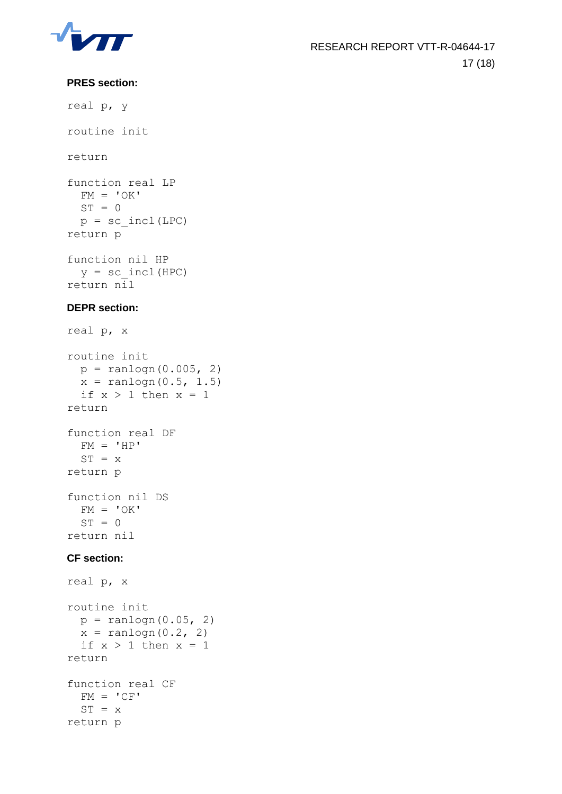

#### **PRES section:**

real p, y routine init return function real LP  $FM = 'OK'$  $ST = 0$  $p = sc$  incl(LPC) return p function nil HP  $y = sc$  incl(HPC) return nil **DEPR section:** real p, x

```
routine init
 p = random(0.005, 2)x = random(0.5, 1.5)if x > 1 then x = 1return
function real DF
 FM = 'HP'ST = xreturn p
function nil DS
 FM = 'OK'ST = 0return nil
```
#### **CF section:**

```
real p, x
routine init
 p = random(0.05, 2)x = random(0.2, 2)if x > 1 then x = 1return
function real CF
 FM = 'CF'ST = xreturn p
```